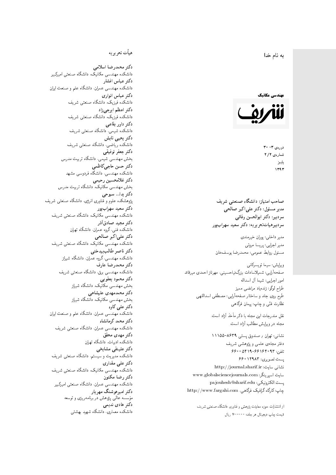#### $\overline{\phantom{a}}$ ز<br>ن به نام خدا .<br>.

# مهندسی مکانیک



دورەي ٣- ٣٥ شمارەي ۲/۲ پاييز<br>.  $1197$ 

صاحب امتیاز: دانشگاه صنعتی شریف  $\mathfrak{c}$ مدیر مسئول: دکتر علیاکبر صالحی  $\mathfrak{c}$ سردبير: دكتر ابوالحسن وفائي سردبیرهیاتتحر یر یه : دکتر سعید سهرابپور

مدير داخلى: پوران خيرمندى<br>. مدير اجرايي: پريسا مروتي<br>. مسئول روابط عمومی: محمدرضا يوسفخان<br>.

ويرايش: سيما تويسركان<sub>ى</sub><br>مىسى<sup>تى</sup>ل صفحهآرایی: شمیلاسادات بزرگ نیاحسینی، مهرناز احمدی میرقائد<br>ا امور اجرایی: شیما آل اسداله<br>سلسمه طراح لوگو: زندهیاد مرتضمی ممیز<br>ا طرح روى جلد و ساختار صفحه[رایی: مصطفى اسداللهی<br>بنالمستقد نظارت فنَّى و چاپ: پيمان فرگاهى<br>.

نقل مندرجات این مجله با ذکر مأخذ آزاد است.<br>مجله در ویرایش مطالب آزاد است.

نشانی: تهران / صندوق پستی ۸۶۳۹-۱۱۱۵۵ دفتر مجلهى علمى و پژوهشى شريف 7600 06196-96169 و 960 یست تصویری: ۱۲۹۸۳ ۶۶۰ نشانی سایت: http://journal.sharif.ir<br>م سايت اسپرينگر: www.globalsciencejournals.com<br>دادم ساخت pajouhesh@sharif.edu :يست الكترونيكي: چاپ: کارگاه گرافیک فرگاهی، http://www.fargahi.com

از انتشارات حوزه معاونت پژوهش و فناوری دانشگاه صنعتی شریف قيمت جاپ ديجيتال هر جلد: ۲۰۰۰۰۰ ريال

#### هيأت تحريريه

دكتر محمدرضا اسلامى مکانیک، دانشگاه صنعتی امیرکبیر<br>. دكتر عباس افشار دانشکده مهندسی عمران، دانشگاه علم و صنعت ایران<br>بحمد مصلحات دكتر عباس انوارى دانشکده فیزیک، دانشگاه صنعتبی شریف<br>محمد استانسا دکتر اعظم ايرجى زاد ، دانشگاه صنعتبی شریف<br>. دکتر داور بقاع**ی** دانشکده شیمی، دانشگاه صنعتی شریف<br>دکتر یحیی تابش دانشکده ریاضی، دانشگاه صنعتی شریف<br>برمسمنستانستان دكتر جعفر توفيقي بخش مهندسی شیمی، دانشگاه تربیت مدرس<br>سم دكتر حسن حاجىكاظمي دانشکده مهندسی، دانشگاه فردوسی مشهد<br>کستفلار م دكتر غلامحسين رحيمي هندسی مکانیک، دانشگاه تربیت مدرس<br>ا دکتر یدا... سبوحی پژوهشکده علوم و فناوری انرژی، دانشگاه صنعتبی شریف دکتر سعید سهرابپور<br>دانشکده مهندسی مکانیک، دانشگاه صنعتی شریف دکتر مجيد صادقاذر ا<br>. دانشکده فنی، گروه عمران، دانشگاه تهران دکتر علیاکبر صالحی = دانشکده مهندسی مکانیک، دانشگاه صنعتی شریف<br>یکستا دکتر ناصر طالب بیدختی r  $\mathfrak{c}$ دانشکده مهندسی، گروه عمران، دانشگاه شیراز<br>مکتب مصدر مقبل علم دكتر محمدرضا عارف دانشکده مهندسی برق، دانشگاه صنعتی شریف<br><mark>دکتر محمود یعقوبی</mark> هندسی مکانیک، دانشگاه شیراز<br>مسدوده مصلوفیاه دکتر محمدمهدی علیشاهی بخش مهندسی مکانیک، دانشگاه شیراز<br>مکتبهای کابی دکتر علی کاوہ دانشکده مهندسی عمران، دانشگاه علم و صنعت ایران<br>بحت دکتر محمد کرمانشاه .<br>. دانشکده مهندسی عمران، دانشگاه صنعتی شریف<br>مکتبر دولت مستق دکتر مهد*ی* محقق دانشکده ادبیات، دانشگاه تهران دکتر علینقی مشایخ<u>ی</u> دانشکده مدیریت و سیستم، دانشگاه صنعتبی شریف<br>محمد باست دکتر علی مقداری مکانیک، دانشگاه صنعتی شریف<br>. دكتر رضا مكنون دانشکده مهندسی عمران. دانشگاه صنعتی امیرکبیر<br>محمد است میگ دکتر امیرهوشنگ مهریار سه عالمی پژوهش در برنامهریزی و توسعه<br>۱۹ادم خار موسه<br>بر ءُ<br>ك دکتر هادی ندیمی  $\overline{a}$ المحلكة المحلمة التي تتوجد المحلمة التي تتوجد المحلمة التي تتوجد المحلمة التي تتوجد المحلمة التي تتوجد المحلمة<br>المحلمة التي تتوجد المحلمة التي تتوجد المحلمة التي تتوجد المحلمة التي تتوجد المحلمة التي تتوجد المحلمة التي تت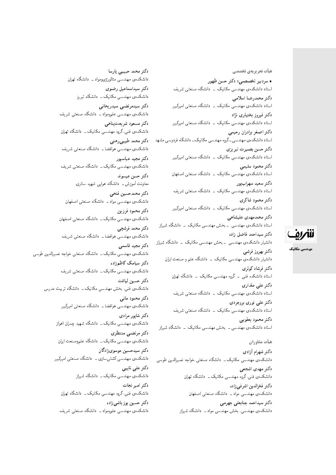هیأت تحریریهی تخصصی

• سردبیر تخصصی: دکتر حسن ظهور استاد دانشکدهی مهندسی مکانیک \_ دانشگاه صنعتی شریف دكتر محمدرضا اسلامى استاد دانشکدهی مهندسی مکانیک ۔ دانشگاه صنعتی امیرکبیر دکتر فیروز بختیاری نژاد استاد دانشکدهی مهندسی مکانیک <mark>ـ دانشگاه صنعتی امیرکبیر</mark> دكتر اصغر برادران رحيمي استاد دانشکدهی مهندسی ـ گروه مهندسی مکانیک ـ دانشگاه فردوسی مشهد دكتر حسن بصيرت تبريزي استاد دانشکدهی مهندسی مکانیک - دانشگاه صنعتی امیرکبیر دكتر محمود سليمي استاد دانشکدهی مهندسی مکانیک - دانشگاه صنعتی اصفهان دكتر سعيد سهرابپور استاد دانشکدهی مهندسی مکانیک <mark>ب</mark> دانشگاه صنعتی شریف دكتر محمود شاكري استاد دانشکدهی مهندسی مکانیک <mark>– دانشگاه صنعتی امیرکبیر</mark> دكتر محمدمهدى عليشاهي استاد دانشکدهی مهندسی \_ بخش مهندسی مکانیک \_ دانشگاه شیراز دكتر سيداحمد فاضل زاده دانشیار دانشکدهی مهندسی – بخش مهندسی مکانیک – دانشگاه شیراز دكتر بهروز فرشي دانشیار دانشکدهی مهندسی مکانیک <mark>– دانشگاه علم و صنعت ایران</mark> دكتر فرشاد كوثرى استاد دانشکده فنی - گروه مهندسی مکانیک - دانشگاه تهران دکتر عل<sub>ی</sub> مقداری استاد دانشکدهی مهندسی مکانیک <mark>ـ دانشگاه صنعتی شریف</mark>

دكتر على نورى بروجردى استاد دانشکدهی مهندسی مکانیک ۔ دانشگاه صنعتی شریف دكتر محمود يعقوبي استاد دانشکدهی مهندسی ــ بخش مهندسی مکانیک ــ دانشگاه شیراز

#### هيأت مشاوران دكتر شهرام أزادي

دانشکدهی مهندسی مکانیک ـــ دانشگاه صنعتی خواجه نصیرالدین طوسی دکتر مهدی اشجعی دانشکدهی فنی،گروه مهندسی مکانیک ــ دانشگاه تهران دكتر فخرالدين اشرفي زاده دانشکدهی مهندسی مواد ــ دانشگاه صنعتبی اصفهان دکتر سیداحمد جنابعلی جهرمی دانشکدهی مهندسی، بخش مهندسی مواد ــ دانشگاه شیراز

دكتر محمد حبيبى پارسا دانشکده ی مهندسی متالورژیومواد ـ دانشگاه تهران دكتر سيداسماعيل رضوى دانشکدهی مهندسی مکانیک ــ دانشگاه تبریز دكتر سيدمرتضى سيدريحاني دانشکده ی مهندسی علمومواد ـ دانشگاه صنعتی شریف دكتر مسعود شريعت پناهي دانشکدهی فنبی،گروه مهندسی مکانیک ــ دانشگاه تهران دكتر محمد طيبي رهني دانشکدهی مهندسی هوافضا ــ دانشگاه صنعتی شریف دكتر مجيد عباسپور دانشکدهی مهندسی مکانیک ــ دانشگاه صنعتی شریف دكتر حسن عيسوند معاونت آموزش ــ دانشگاه هوایی شهید ستاری دكتر محمدحسين فتحى دانشکدهی مهندسی مواد ــ دانشگاه صنعتی اصفهان دكتر محمود فرزين دانشکدهی مهندسی مکانیک ــ دانشگاه صنعتی اصفهان دكتر محمد فرشچى دانشکدهی مهندسی هوافضا ــ دانشگاه صنعتی شریف دكتر مجيد قاسمي دانشکدهی مهندسی مکانیک ــ دانشگاه صنعتبی خواجه نصیرالدین طوسی دكتر سيامك كاظمزاده دانشکدهی مهندسی مکانیک ــ دانشگاه صنعتی شریف دكتر حسين لياقت دانشکدہی فنبی، بخش مهندسی مکانیک ــ دانشگاه تربیت مدرس دکتر محمود مانبی دانشکدهی مهندسی هوافضا ــ دانشگاه صنعتی امیرکبیر دكتر شايور مرادى دانشکدهی مهندسی مکانیک ــ دانشگاه شهید چمران اهواز دكتر مرتضى منتظرى دانشکدهی مهندسی مکانیک ــ دانشگاه علموصنعت ایران دکتر سیدحسین موسویزادگان دانشکدهی مهندسی کشتیسازی ــ دانشگاه صنعتی امیرکبیر دكتر على نايبي دانشکدهی مهندسی مکانیک <mark>ـ دانشگاه شیراز</mark> دكتر امير نجات دانشکده ی فنبی،گروه مهندسی مکانیک ــ دانشگاه تهران دكتر حسين يوزباشي زاده دانشکدهی مهندسی علمومواد - دانشگاه صنعتی شریف



مهندسی مکانیک